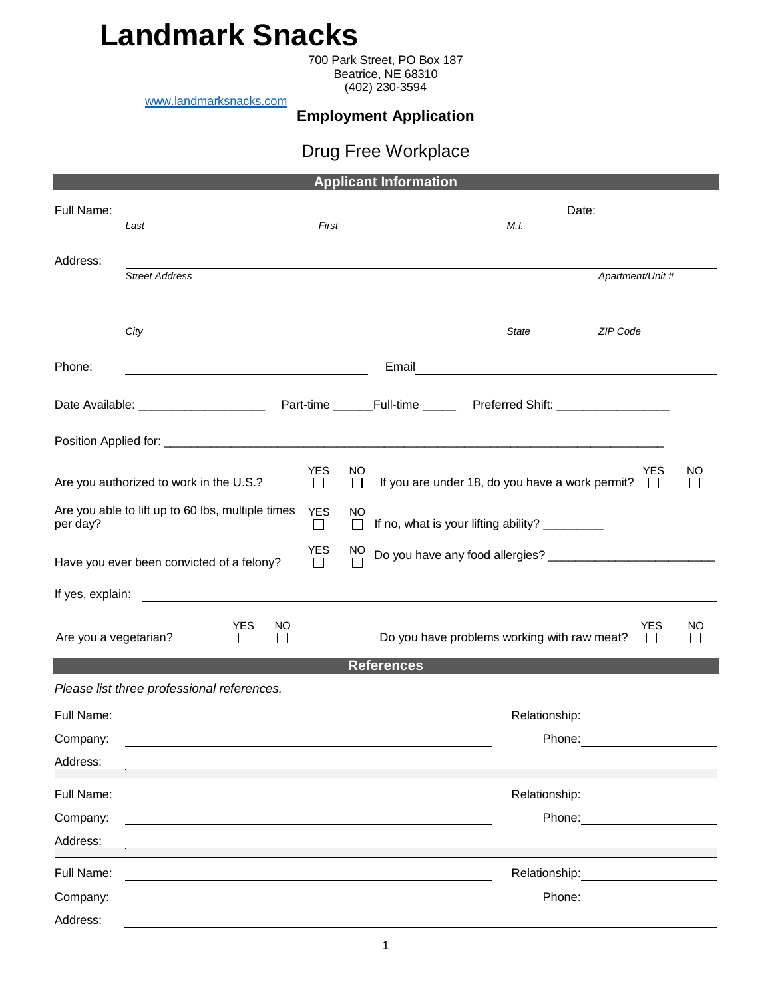## **Landmark Snacks**

700 Park Street, PO Box 187 Beatrice, NE 68310 (402) 230-3594

[www.landmarksnacks.com](http://www.landmarksnacks.com/)

## **Employment Application**

## Drug Free Workplace

| <b>Applicant Information</b>                                                             |                                                                                                                      |                 |                     |                                                |                                                 |                                                                                                                                                                                                                                |    |  |
|------------------------------------------------------------------------------------------|----------------------------------------------------------------------------------------------------------------------|-----------------|---------------------|------------------------------------------------|-------------------------------------------------|--------------------------------------------------------------------------------------------------------------------------------------------------------------------------------------------------------------------------------|----|--|
| Full Name:                                                                               |                                                                                                                      |                 |                     |                                                |                                                 |                                                                                                                                                                                                                                |    |  |
|                                                                                          | Last                                                                                                                 | First           |                     |                                                | M.I.                                            |                                                                                                                                                                                                                                |    |  |
| Address:                                                                                 |                                                                                                                      |                 |                     |                                                |                                                 |                                                                                                                                                                                                                                |    |  |
|                                                                                          | <b>Street Address</b>                                                                                                |                 |                     |                                                |                                                 | Apartment/Unit #                                                                                                                                                                                                               |    |  |
|                                                                                          |                                                                                                                      |                 |                     |                                                |                                                 |                                                                                                                                                                                                                                |    |  |
|                                                                                          | City                                                                                                                 |                 |                     |                                                | <b>State</b>                                    | ZIP Code                                                                                                                                                                                                                       |    |  |
|                                                                                          |                                                                                                                      |                 |                     |                                                |                                                 |                                                                                                                                                                                                                                |    |  |
| Phone:                                                                                   |                                                                                                                      |                 |                     |                                                |                                                 |                                                                                                                                                                                                                                |    |  |
|                                                                                          |                                                                                                                      |                 |                     |                                                |                                                 |                                                                                                                                                                                                                                |    |  |
|                                                                                          |                                                                                                                      |                 |                     |                                                |                                                 |                                                                                                                                                                                                                                |    |  |
|                                                                                          |                                                                                                                      |                 |                     |                                                |                                                 |                                                                                                                                                                                                                                |    |  |
|                                                                                          |                                                                                                                      |                 | NO                  |                                                | YES                                             | NO                                                                                                                                                                                                                             |    |  |
| Are you authorized to work in the U.S.?                                                  |                                                                                                                      | $\Box$          | $\Box$              |                                                | If you are under 18, do you have a work permit? | $\perp$                                                                                                                                                                                                                        |    |  |
| Are you able to lift up to 60 lbs, multiple times<br>per day?                            |                                                                                                                      | <b>YES</b><br>Ш | <b>NO</b><br>$\Box$ | If no, what is your lifting ability? _________ |                                                 |                                                                                                                                                                                                                                |    |  |
|                                                                                          |                                                                                                                      |                 |                     |                                                |                                                 |                                                                                                                                                                                                                                |    |  |
| Have you ever been convicted of a felony?                                                |                                                                                                                      |                 | $\frac{NO}{\Box}$   |                                                |                                                 |                                                                                                                                                                                                                                |    |  |
|                                                                                          |                                                                                                                      |                 |                     |                                                |                                                 |                                                                                                                                                                                                                                |    |  |
|                                                                                          | <b>YES</b>                                                                                                           | NO              |                     |                                                |                                                 | <b>YES</b>                                                                                                                                                                                                                     | NO |  |
| Do you have problems working with raw meat?<br>Are you a vegetarian?<br>$\Box$<br>$\Box$ |                                                                                                                      |                 |                     | $\Box$                                         |                                                 |                                                                                                                                                                                                                                |    |  |
|                                                                                          |                                                                                                                      |                 |                     | <b>References</b>                              |                                                 |                                                                                                                                                                                                                                |    |  |
|                                                                                          | Please list three professional references.                                                                           |                 |                     |                                                |                                                 |                                                                                                                                                                                                                                |    |  |
| Full Name:                                                                               | <u> 1989 - Johann Stoff, deutscher Stoffen und der Stoffen und der Stoffen und der Stoffen und der Stoffen und d</u> |                 |                     |                                                |                                                 |                                                                                                                                                                                                                                |    |  |
| Company:                                                                                 |                                                                                                                      |                 |                     |                                                | Phone:                                          |                                                                                                                                                                                                                                |    |  |
| Address:                                                                                 |                                                                                                                      |                 |                     |                                                |                                                 |                                                                                                                                                                                                                                |    |  |
| Full Name:                                                                               |                                                                                                                      |                 |                     |                                                | Relationship:                                   |                                                                                                                                                                                                                                |    |  |
| Company:                                                                                 |                                                                                                                      |                 |                     |                                                | Phone:                                          |                                                                                                                                                                                                                                |    |  |
| Address:                                                                                 |                                                                                                                      |                 |                     |                                                |                                                 |                                                                                                                                                                                                                                |    |  |
| Full Name:                                                                               |                                                                                                                      |                 |                     |                                                |                                                 | Relationship: example and all the set of the set of the set of the set of the set of the set of the set of the                                                                                                                 |    |  |
| Company:                                                                                 |                                                                                                                      |                 |                     |                                                |                                                 | Phone: The contract of the contract of the contract of the contract of the contract of the contract of the contract of the contract of the contract of the contract of the contract of the contract of the contract of the con |    |  |
| Address:                                                                                 |                                                                                                                      |                 |                     |                                                |                                                 |                                                                                                                                                                                                                                |    |  |